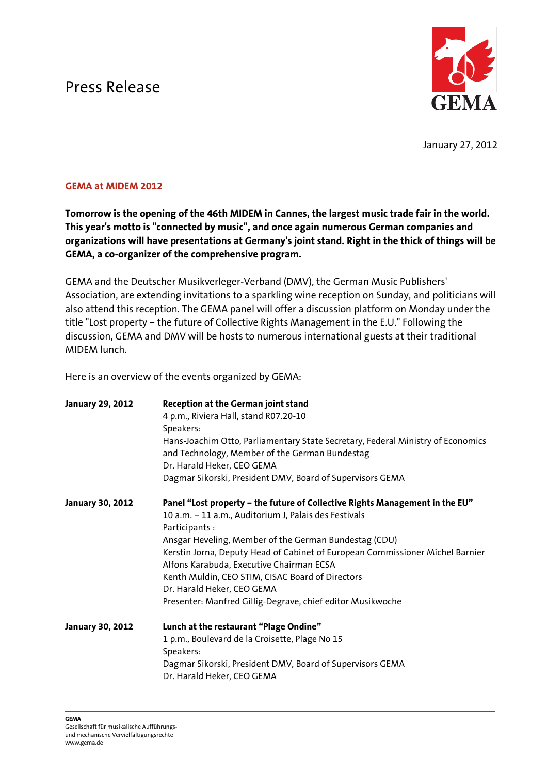## Press Release



January 27, 2012

## GEMA at MIDEM 2012

Tomorrow is the opening of the 46th MIDEM in Cannes, the largest music trade fair in the world. This year's motto is "connected by music", and once again numerous German companies and organizations will have presentations at Germany's joint stand. Right in the thick of things will be GEMA, a co-organizer of the comprehensive program.

GEMA and the Deutscher Musikverleger-Verband (DMV), the German Music Publishers' Association, are extending invitations to a sparkling wine reception on Sunday, and politicians will also attend this reception. The GEMA panel will offer a discussion platform on Monday under the title "Lost property – the future of Collective Rights Management in the E.U." Following the discussion, GEMA and DMV will be hosts to numerous international guests at their traditional MIDEM lunch.

Here is an overview of the events organized by GEMA:

| <b>January 29, 2012</b> | Reception at the German joint stand<br>4 p.m., Riviera Hall, stand R07.20-10<br>Speakers:<br>Hans-Joachim Otto, Parliamentary State Secretary, Federal Ministry of Economics<br>and Technology, Member of the German Bundestag<br>Dr. Harald Heker, CEO GEMA<br>Dagmar Sikorski, President DMV, Board of Supervisors GEMA                                                                                                                                                                    |
|-------------------------|----------------------------------------------------------------------------------------------------------------------------------------------------------------------------------------------------------------------------------------------------------------------------------------------------------------------------------------------------------------------------------------------------------------------------------------------------------------------------------------------|
| <b>January 30, 2012</b> | Panel "Lost property - the future of Collective Rights Management in the EU"<br>10 a.m. - 11 a.m., Auditorium J, Palais des Festivals<br>Participants:<br>Ansgar Heveling, Member of the German Bundestag (CDU)<br>Kerstin Jorna, Deputy Head of Cabinet of European Commissioner Michel Barnier<br>Alfons Karabuda, Executive Chairman ECSA<br>Kenth Muldin, CEO STIM, CISAC Board of Directors<br>Dr. Harald Heker, CEO GEMA<br>Presenter: Manfred Gillig-Degrave, chief editor Musikwoche |
| <b>January 30, 2012</b> | Lunch at the restaurant "Plage Ondine"<br>1 p.m., Boulevard de la Croisette, Plage No 15<br>Speakers:<br>Dagmar Sikorski, President DMV, Board of Supervisors GEMA<br>Dr. Harald Heker, CEO GEMA                                                                                                                                                                                                                                                                                             |